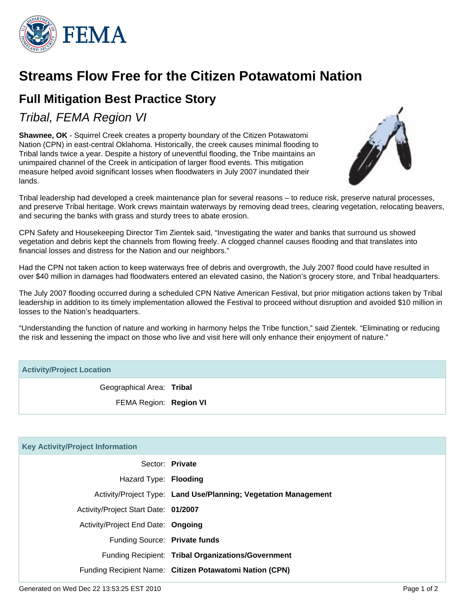

## **Streams Flow Free for the Citizen Potawatomi Nation**

## **Full Mitigation Best Practice Story**

Tribal, FEMA Region VI

**Shawnee, OK** - Squirrel Creek creates a property boundary of the Citizen Potawatomi Nation (CPN) in east-central Oklahoma. Historically, the creek causes minimal flooding to Tribal lands twice a year. Despite a history of uneventful flooding, the Tribe maintains an unimpaired channel of the Creek in anticipation of larger flood events. This mitigation measure helped avoid significant losses when floodwaters in July 2007 inundated their lands.



Tribal leadership had developed a creek maintenance plan for several reasons – to reduce risk, preserve natural processes, and preserve Tribal heritage. Work crews maintain waterways by removing dead trees, clearing vegetation, relocating beavers, and securing the banks with grass and sturdy trees to abate erosion.

CPN Safety and Housekeeping Director Tim Zientek said, "Investigating the water and banks that surround us showed vegetation and debris kept the channels from flowing freely. A clogged channel causes flooding and that translates into financial losses and distress for the Nation and our neighbors."

Had the CPN not taken action to keep waterways free of debris and overgrowth, the July 2007 flood could have resulted in over \$40 million in damages had floodwaters entered an elevated casino, the Nation's grocery store, and Tribal headquarters.

The July 2007 flooding occurred during a scheduled CPN Native American Festival, but prior mitigation actions taken by Tribal leadership in addition to its timely implementation allowed the Festival to proceed without disruption and avoided \$10 million in losses to the Nation's headquarters.

"Understanding the function of nature and working in harmony helps the Tribe function," said Zientek. "Eliminating or reducing the risk and lessening the impact on those who live and visit here will only enhance their enjoyment of nature."

## **Activity/Project Location**

Geographical Area: **Tribal**

FEMA Region: **Region VI**

| <b>Key Activity/Project Information</b> |                                                                 |
|-----------------------------------------|-----------------------------------------------------------------|
|                                         | Sector: Private                                                 |
| Hazard Type: Flooding                   |                                                                 |
|                                         | Activity/Project Type: Land Use/Planning; Vegetation Management |
| Activity/Project Start Date: 01/2007    |                                                                 |
| Activity/Project End Date: Ongoing      |                                                                 |
| Funding Source: Private funds           |                                                                 |
|                                         | Funding Recipient: Tribal Organizations/Government              |
|                                         | Funding Recipient Name: Citizen Potawatomi Nation (CPN)         |